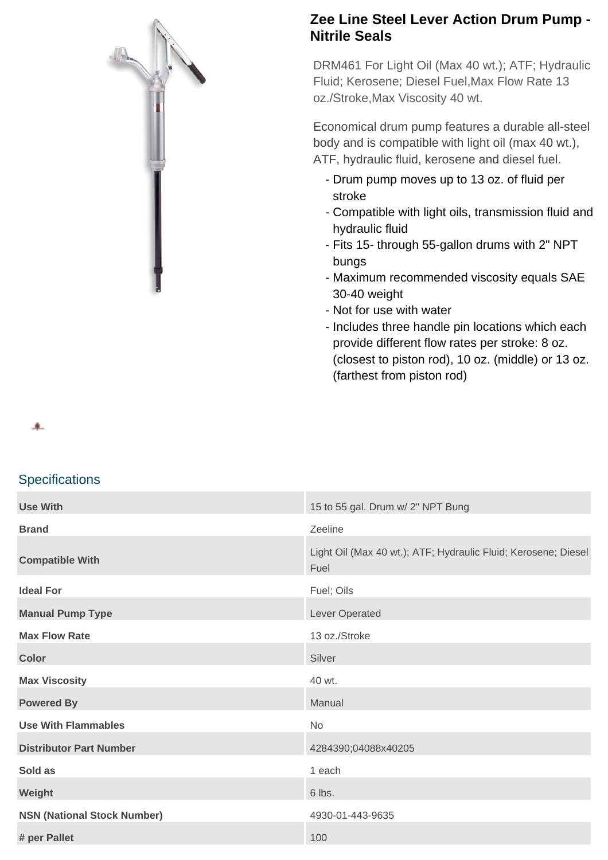

## **Zee Line Steel Lever Action Drum Pump - Nitrile Seals**

DRM461 For Light Oil (Max 40 wt.); ATF; Hydraulic Fluid; Kerosene; Diesel Fuel,Max Flow Rate 13 oz./Stroke,Max Viscosity 40 wt.

Economical drum pump features a durable all-steel body and is compatible with light oil (max 40 wt.), ATF, hydraulic fluid, kerosene and diesel fuel.

- Drum pump moves up to 13 oz. of fluid per stroke
- Compatible with light oils, transmission fluid and hydraulic fluid
- Fits 15- through 55-gallon drums with 2" NPT bungs
- Maximum recommended viscosity equals SAE 30-40 weight
- Not for use with water
- Includes three handle pin locations which each provide different flow rates per stroke: 8 oz. (closest to piston rod), 10 oz. (middle) or 13 oz. (farthest from piston rod)

车.

## **Specifications**

| <b>Use With</b>                    | 15 to 55 gal. Drum w/ 2" NPT Bung                                      |
|------------------------------------|------------------------------------------------------------------------|
| <b>Brand</b>                       | Zeeline                                                                |
| <b>Compatible With</b>             | Light Oil (Max 40 wt.); ATF; Hydraulic Fluid; Kerosene; Diesel<br>Fuel |
| <b>Ideal For</b>                   | Fuel; Oils                                                             |
| <b>Manual Pump Type</b>            | Lever Operated                                                         |
| <b>Max Flow Rate</b>               | 13 oz./Stroke                                                          |
| <b>Color</b>                       | Silver                                                                 |
| <b>Max Viscosity</b>               | 40 wt.                                                                 |
| <b>Powered By</b>                  | Manual                                                                 |
| <b>Use With Flammables</b>         | No                                                                     |
| <b>Distributor Part Number</b>     | 4284390;04088x40205                                                    |
| Sold as                            | 1 each                                                                 |
| Weight                             | 6 lbs.                                                                 |
| <b>NSN (National Stock Number)</b> | 4930-01-443-9635                                                       |
| # per Pallet                       | 100                                                                    |